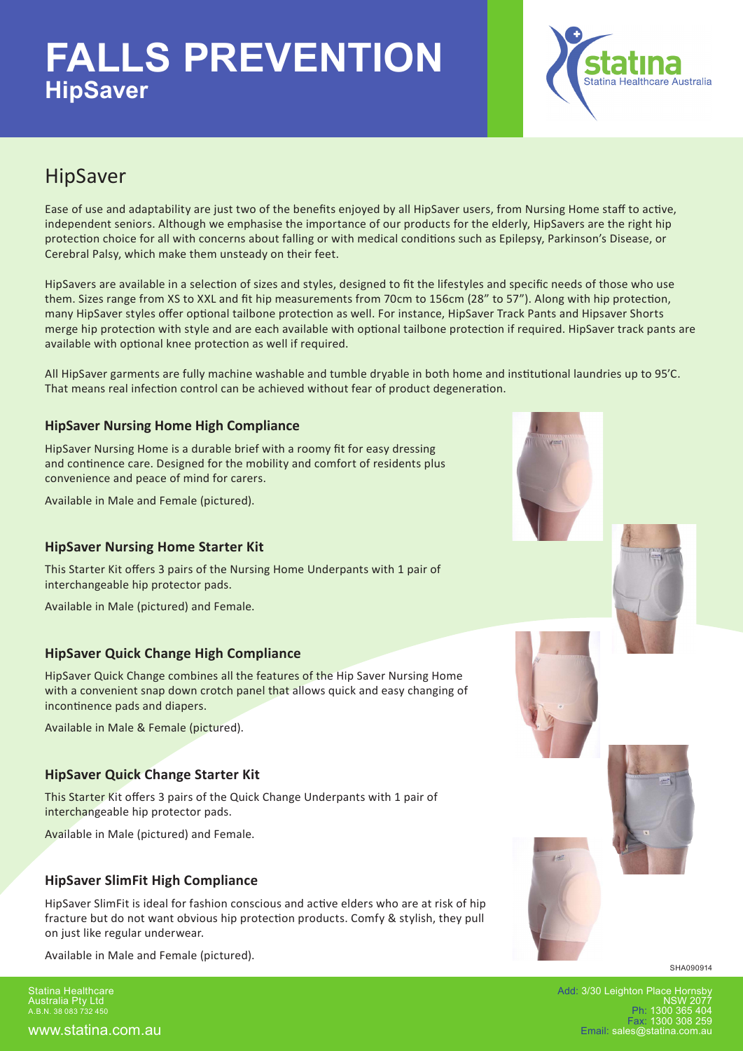

### HipSaver

Ease of use and adaptability are just two of the benefits enjoyed by all HipSaver users, from Nursing Home staff to active, independent seniors. Although we emphasise the importance of our products for the elderly, HipSavers are the right hip protection choice for all with concerns about falling or with medical conditions such as Epilepsy, Parkinson's Disease, or Cerebral Palsy, which make them unsteady on their feet.

HipSavers are available in a selection of sizes and styles, designed to fit the lifestyles and specific needs of those who use them. Sizes range from XS to XXL and fit hip measurements from 70cm to 156cm (28" to 57"). Along with hip protection, many HipSaver styles offer optional tailbone protection as well. For instance, HipSaver Track Pants and Hipsaver Shorts merge hip protection with style and are each available with optional tailbone protection if required. HipSaver track pants are available with optional knee protection as well if required.

All HipSaver garments are fully machine washable and tumble dryable in both home and institutional laundries up to 95'C. That means real infection control can be achieved without fear of product degeneration.

### **HipSaver Nursing Home High Compliance**

HipSaver Nursing Home is a durable brief with a roomy fit for easy dressing and continence care. Designed for the mobility and comfort of residents plus convenience and peace of mind for carers.

Available in Male and Female (pictured).

#### **HipSaver Nursing Home Starter Kit**

This Starter Kit offers 3 pairs of the Nursing Home Underpants with 1 pair of interchangeable hip protector pads.

Available in Male (pictured) and Female.

#### **HipSaver Quick Change High Compliance**

HipSaver Quick Change combines all the features of the Hip Saver Nursing Home with a convenient snap down crotch panel that allows quick and easy changing of incontinence pads and diapers.

Available in Male & Female (pictured).

#### **HipSaver Quick Change Starter Kit**

This Starter Kit offers 3 pairs of the Quick Change Underpants with 1 pair of interchangeable hip protector pads.

Available in Male (pictured) and Female.

### **HipSaver SlimFit High Compliance**

HipSaver SlimFit is ideal for fashion conscious and active elders who are at risk of hip fracture but do not want obvious hip protection products. Comfy & stylish, they pull on just like regular underwear.

Available in Male and Female (pictured).

Statina Healthcare Australia Pty Ltd A.B.N. 38 083 732 450









SHA090914

Add: 3/30 Leighton Place Hornsby NSW 2077 Ph: 1300 365 404 Fax: 1300 308 259 Email: sales@statina.com.au

www.statina.com.au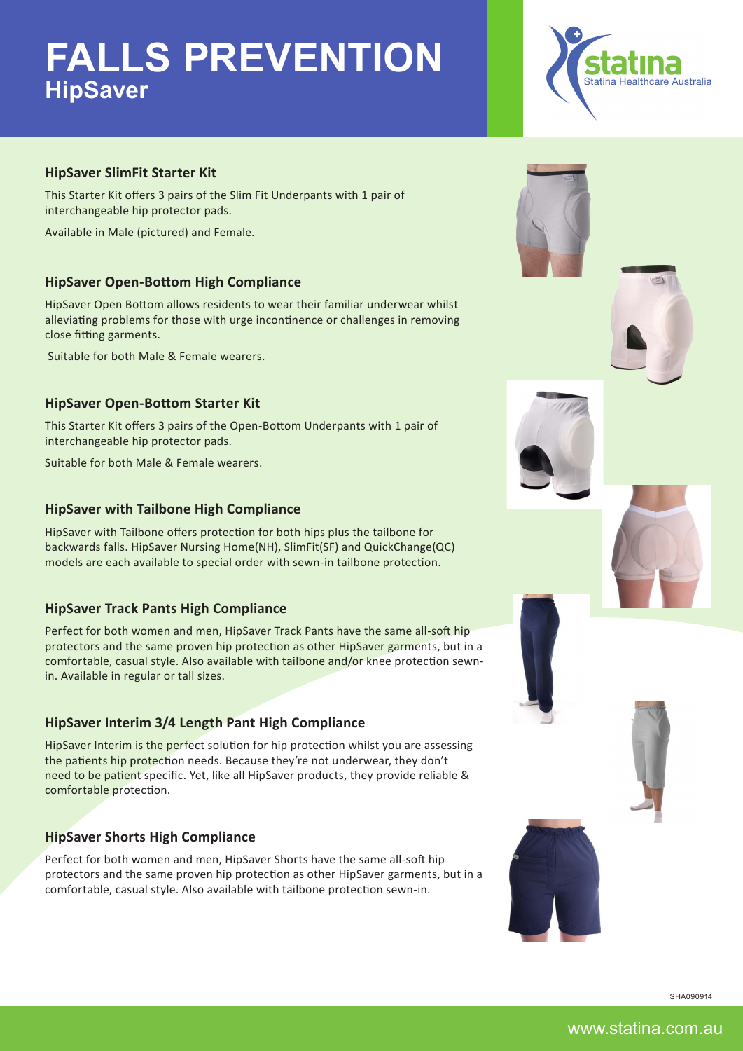

#### **HipSaver SlimFit Starter Kit**

This Starter Kit offers 3 pairs of the Slim Fit Underpants with 1 pair of interchangeable hip protector pads.

Available in Male (pictured) and Female.

#### **HipSaver Open-Bottom High Compliance**

HipSaver Open Bottom allows residents to wear their familiar underwear whilst alleviating problems for those with urge incontinence or challenges in removing close fitting garments.

Suitable for both Male & Female wearers.

#### **HipSaver Open-Bottom Starter Kit**

This Starter Kit offers 3 pairs of the Open-Bottom Underpants with 1 pair of interchangeable hip protector pads.

Suitable for both Male & Female wearers.

#### **HipSaver with Tailbone High Compliance**

HipSaver with Tailbone offers protection for both hips plus the tailbone for backwards falls. HipSaver Nursing Home(NH), SlimFit(SF) and QuickChange(QC) models are each available to special order with sewn-in tailbone protection.

#### **HipSaver Track Pants High Compliance**

Perfect for both women and men, HipSaver Track Pants have the same all-soft hip protectors and the same proven hip protection as other HipSaver garments, but in a comfortable, casual style. Also available with tailbone and/or knee protection sewnin. Available in regular or tall sizes.

#### **HipSaver Interim 3/4 Length Pant High Compliance**

HipSaver Interim is the perfect solution for hip protection whilst you are assessing the patients hip protection needs. Because they're not underwear, they don't need to be patient specific. Yet, like all HipSaver products, they provide reliable & comfortable protection.

#### **HipSaver Shorts High Compliance**

Perfect for both women and men, HipSaver Shorts have the same all-soft hip protectors and the same proven hip protection as other HipSaver garments, but in a comfortable, casual style. Also available with tailbone protection sewn-in.









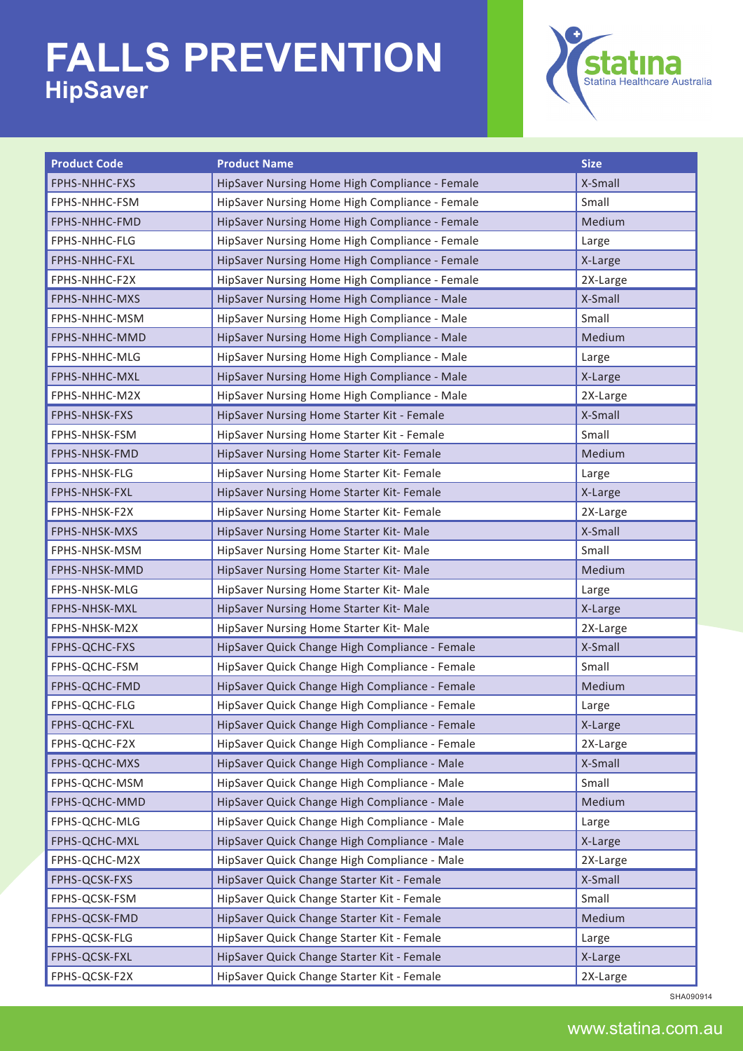

| <b>Product Code</b> | <b>Product Name</b>                            | <b>Size</b> |
|---------------------|------------------------------------------------|-------------|
| FPHS-NHHC-FXS       | HipSaver Nursing Home High Compliance - Female | X-Small     |
| FPHS-NHHC-FSM       | HipSaver Nursing Home High Compliance - Female | Small       |
| FPHS-NHHC-FMD       | HipSaver Nursing Home High Compliance - Female | Medium      |
| FPHS-NHHC-FLG       | HipSaver Nursing Home High Compliance - Female | Large       |
| FPHS-NHHC-FXL       | HipSaver Nursing Home High Compliance - Female | X-Large     |
| FPHS-NHHC-F2X       | HipSaver Nursing Home High Compliance - Female | 2X-Large    |
| FPHS-NHHC-MXS       | HipSaver Nursing Home High Compliance - Male   | X-Small     |
| FPHS-NHHC-MSM       | HipSaver Nursing Home High Compliance - Male   | Small       |
| FPHS-NHHC-MMD       | HipSaver Nursing Home High Compliance - Male   | Medium      |
| FPHS-NHHC-MLG       | HipSaver Nursing Home High Compliance - Male   | Large       |
| FPHS-NHHC-MXL       | HipSaver Nursing Home High Compliance - Male   | X-Large     |
| FPHS-NHHC-M2X       | HipSaver Nursing Home High Compliance - Male   | 2X-Large    |
| FPHS-NHSK-FXS       | HipSaver Nursing Home Starter Kit - Female     | X-Small     |
| FPHS-NHSK-FSM       | HipSaver Nursing Home Starter Kit - Female     | Small       |
| FPHS-NHSK-FMD       | HipSaver Nursing Home Starter Kit- Female      | Medium      |
| FPHS-NHSK-FLG       | HipSaver Nursing Home Starter Kit- Female      | Large       |
| FPHS-NHSK-FXL       | HipSaver Nursing Home Starter Kit- Female      | X-Large     |
| FPHS-NHSK-F2X       | HipSaver Nursing Home Starter Kit- Female      | 2X-Large    |
| FPHS-NHSK-MXS       | HipSaver Nursing Home Starter Kit- Male        | X-Small     |
| FPHS-NHSK-MSM       | HipSaver Nursing Home Starter Kit- Male        | Small       |
| FPHS-NHSK-MMD       | HipSaver Nursing Home Starter Kit- Male        | Medium      |
| FPHS-NHSK-MLG       | HipSaver Nursing Home Starter Kit- Male        | Large       |
| FPHS-NHSK-MXL       | HipSaver Nursing Home Starter Kit- Male        | X-Large     |
| FPHS-NHSK-M2X       | HipSaver Nursing Home Starter Kit- Male        | 2X-Large    |
| FPHS-QCHC-FXS       | HipSaver Quick Change High Compliance - Female | X-Small     |
| FPHS-QCHC-FSM       | HipSaver Quick Change High Compliance - Female | Small       |
| FPHS-QCHC-FMD       | HipSaver Quick Change High Compliance - Female | Medium      |
| FPHS-QCHC-FLG       | HipSaver Quick Change High Compliance - Female | Large       |
| FPHS-QCHC-FXL       | HipSaver Quick Change High Compliance - Female | X-Large     |
| FPHS-QCHC-F2X       | HipSaver Quick Change High Compliance - Female | 2X-Large    |
| FPHS-QCHC-MXS       | HipSaver Quick Change High Compliance - Male   | X-Small     |
| FPHS-QCHC-MSM       | HipSaver Quick Change High Compliance - Male   | Small       |
| FPHS-QCHC-MMD       | HipSaver Quick Change High Compliance - Male   | Medium      |
| FPHS-QCHC-MLG       | HipSaver Quick Change High Compliance - Male   | Large       |
| FPHS-QCHC-MXL       | HipSaver Quick Change High Compliance - Male   | X-Large     |
| FPHS-QCHC-M2X       | HipSaver Quick Change High Compliance - Male   | 2X-Large    |
| FPHS-QCSK-FXS       | HipSaver Quick Change Starter Kit - Female     | X-Small     |
| FPHS-QCSK-FSM       | HipSaver Quick Change Starter Kit - Female     | Small       |
| FPHS-QCSK-FMD       | HipSaver Quick Change Starter Kit - Female     | Medium      |
| FPHS-QCSK-FLG       | HipSaver Quick Change Starter Kit - Female     | Large       |
| FPHS-QCSK-FXL       | HipSaver Quick Change Starter Kit - Female     | X-Large     |
| FPHS-QCSK-F2X       | HipSaver Quick Change Starter Kit - Female     | 2X-Large    |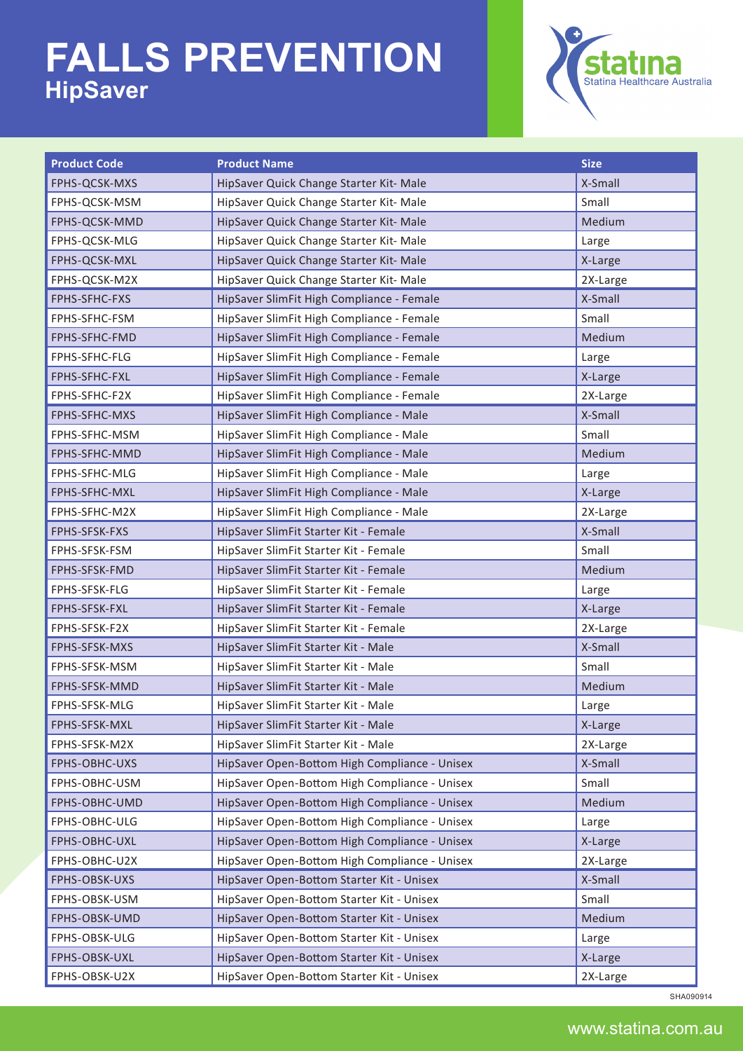

| <b>Product Code</b> | <b>Product Name</b>                           | <b>Size</b> |  |
|---------------------|-----------------------------------------------|-------------|--|
| FPHS-QCSK-MXS       | HipSaver Quick Change Starter Kit- Male       | X-Small     |  |
| FPHS-QCSK-MSM       | HipSaver Quick Change Starter Kit- Male       | Small       |  |
| FPHS-QCSK-MMD       | HipSaver Quick Change Starter Kit- Male       | Medium      |  |
| FPHS-QCSK-MLG       | HipSaver Quick Change Starter Kit- Male       | Large       |  |
| FPHS-QCSK-MXL       | HipSaver Quick Change Starter Kit- Male       | X-Large     |  |
| FPHS-QCSK-M2X       | HipSaver Quick Change Starter Kit- Male       | 2X-Large    |  |
| FPHS-SFHC-FXS       | HipSaver SlimFit High Compliance - Female     | X-Small     |  |
| FPHS-SFHC-FSM       | HipSaver SlimFit High Compliance - Female     | Small       |  |
| FPHS-SFHC-FMD       | HipSaver SlimFit High Compliance - Female     | Medium      |  |
| FPHS-SFHC-FLG       | HipSaver SlimFit High Compliance - Female     | Large       |  |
| FPHS-SFHC-FXL       | HipSaver SlimFit High Compliance - Female     | X-Large     |  |
| FPHS-SFHC-F2X       | HipSaver SlimFit High Compliance - Female     | 2X-Large    |  |
| FPHS-SFHC-MXS       | HipSaver SlimFit High Compliance - Male       | X-Small     |  |
| FPHS-SFHC-MSM       | HipSaver SlimFit High Compliance - Male       | Small       |  |
| FPHS-SFHC-MMD       | HipSaver SlimFit High Compliance - Male       | Medium      |  |
| FPHS-SFHC-MLG       | HipSaver SlimFit High Compliance - Male       | Large       |  |
| FPHS-SFHC-MXL       | HipSaver SlimFit High Compliance - Male       | X-Large     |  |
| FPHS-SFHC-M2X       | HipSaver SlimFit High Compliance - Male       | 2X-Large    |  |
| FPHS-SFSK-FXS       | HipSaver SlimFit Starter Kit - Female         | X-Small     |  |
| FPHS-SFSK-FSM       | HipSaver SlimFit Starter Kit - Female         | Small       |  |
| FPHS-SFSK-FMD       | HipSaver SlimFit Starter Kit - Female         | Medium      |  |
| FPHS-SFSK-FLG       | HipSaver SlimFit Starter Kit - Female         | Large       |  |
| FPHS-SFSK-FXL       | HipSaver SlimFit Starter Kit - Female         | X-Large     |  |
| FPHS-SFSK-F2X       | HipSaver SlimFit Starter Kit - Female         | 2X-Large    |  |
| FPHS-SFSK-MXS       | HipSaver SlimFit Starter Kit - Male           | X-Small     |  |
| FPHS-SFSK-MSM       | HipSaver SlimFit Starter Kit - Male           | Small       |  |
| FPHS-SFSK-MMD       | HipSaver SlimFit Starter Kit - Male           | Medium      |  |
| FPHS-SFSK-MLG       | HipSaver SlimFit Starter Kit - Male           | Large       |  |
| FPHS-SFSK-MXL       | HipSaver SlimFit Starter Kit - Male           | X-Large     |  |
| FPHS-SFSK-M2X       | HipSaver SlimFit Starter Kit - Male           | 2X-Large    |  |
| FPHS-OBHC-UXS       | HipSaver Open-Bottom High Compliance - Unisex | X-Small     |  |
| FPHS-OBHC-USM       | HipSaver Open-Bottom High Compliance - Unisex | Small       |  |
| FPHS-OBHC-UMD       | HipSaver Open-Bottom High Compliance - Unisex | Medium      |  |
| FPHS-OBHC-ULG       | HipSaver Open-Bottom High Compliance - Unisex | Large       |  |
| FPHS-OBHC-UXL       | HipSaver Open-Bottom High Compliance - Unisex | X-Large     |  |
| FPHS-OBHC-U2X       | HipSaver Open-Bottom High Compliance - Unisex | 2X-Large    |  |
| FPHS-OBSK-UXS       | HipSaver Open-Bottom Starter Kit - Unisex     | X-Small     |  |
| FPHS-OBSK-USM       | HipSaver Open-Bottom Starter Kit - Unisex     | Small       |  |
| FPHS-OBSK-UMD       | HipSaver Open-Bottom Starter Kit - Unisex     | Medium      |  |
| FPHS-OBSK-ULG       | HipSaver Open-Bottom Starter Kit - Unisex     | Large       |  |
| FPHS-OBSK-UXL       | HipSaver Open-Bottom Starter Kit - Unisex     | X-Large     |  |
| FPHS-OBSK-U2X       | HipSaver Open-Bottom Starter Kit - Unisex     | 2X-Large    |  |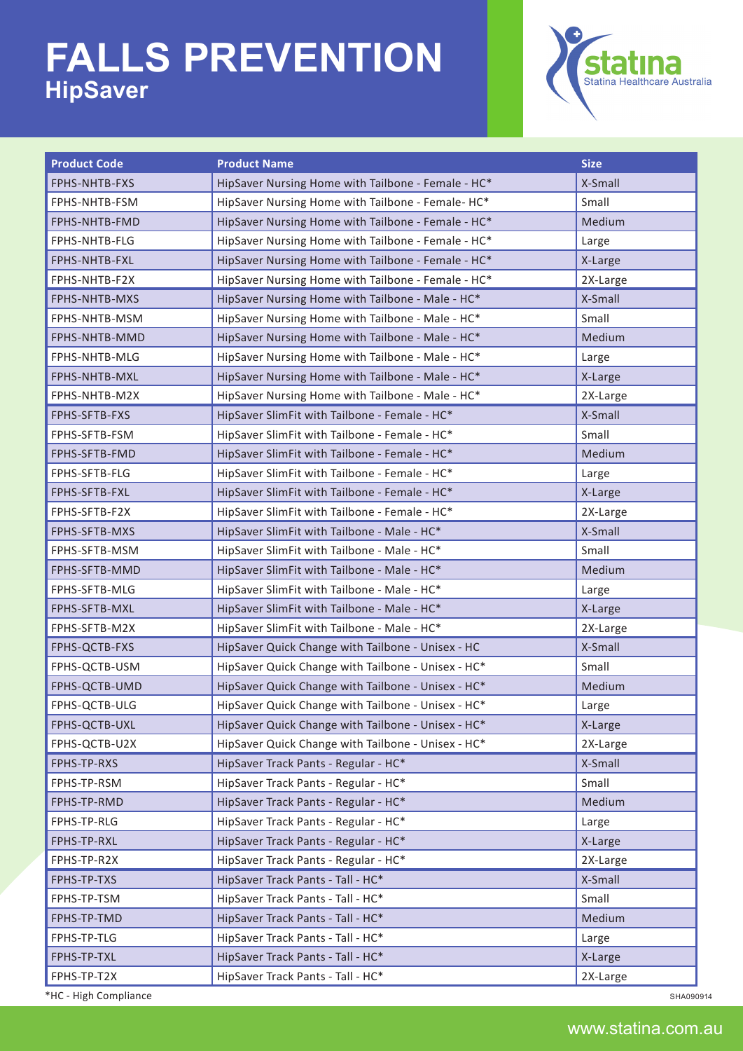

| <b>Product Code</b>   | <b>Product Name</b>                                | <b>Size</b> |
|-----------------------|----------------------------------------------------|-------------|
| FPHS-NHTB-FXS         | HipSaver Nursing Home with Tailbone - Female - HC* | X-Small     |
| FPHS-NHTB-FSM         | HipSaver Nursing Home with Tailbone - Female- HC*  | Small       |
| FPHS-NHTB-FMD         | HipSaver Nursing Home with Tailbone - Female - HC* | Medium      |
| FPHS-NHTB-FLG         | HipSaver Nursing Home with Tailbone - Female - HC* | Large       |
| FPHS-NHTB-FXL         | HipSaver Nursing Home with Tailbone - Female - HC* | X-Large     |
| FPHS-NHTB-F2X         | HipSaver Nursing Home with Tailbone - Female - HC* | 2X-Large    |
| FPHS-NHTB-MXS         | HipSaver Nursing Home with Tailbone - Male - HC*   | X-Small     |
| FPHS-NHTB-MSM         | HipSaver Nursing Home with Tailbone - Male - HC*   | Small       |
| FPHS-NHTB-MMD         | HipSaver Nursing Home with Tailbone - Male - HC*   | Medium      |
| FPHS-NHTB-MLG         | HipSaver Nursing Home with Tailbone - Male - HC*   | Large       |
| FPHS-NHTB-MXL         | HipSaver Nursing Home with Tailbone - Male - HC*   | X-Large     |
| FPHS-NHTB-M2X         | HipSaver Nursing Home with Tailbone - Male - HC*   | 2X-Large    |
| FPHS-SFTB-FXS         | HipSaver SlimFit with Tailbone - Female - HC*      | X-Small     |
| FPHS-SFTB-FSM         | HipSaver SlimFit with Tailbone - Female - HC*      | Small       |
| FPHS-SFTB-FMD         | HipSaver SlimFit with Tailbone - Female - HC*      | Medium      |
| FPHS-SFTB-FLG         | HipSaver SlimFit with Tailbone - Female - HC*      | Large       |
| FPHS-SFTB-FXL         | HipSaver SlimFit with Tailbone - Female - HC*      | X-Large     |
| FPHS-SFTB-F2X         | HipSaver SlimFit with Tailbone - Female - HC*      | 2X-Large    |
| FPHS-SFTB-MXS         | HipSaver SlimFit with Tailbone - Male - HC*        | X-Small     |
| FPHS-SFTB-MSM         | HipSaver SlimFit with Tailbone - Male - HC*        | Small       |
| FPHS-SFTB-MMD         | HipSaver SlimFit with Tailbone - Male - HC*        | Medium      |
| FPHS-SFTB-MLG         | HipSaver SlimFit with Tailbone - Male - HC*        | Large       |
| FPHS-SFTB-MXL         | HipSaver SlimFit with Tailbone - Male - HC*        | X-Large     |
| FPHS-SFTB-M2X         | HipSaver SlimFit with Tailbone - Male - HC*        | 2X-Large    |
| FPHS-QCTB-FXS         | HipSaver Quick Change with Tailbone - Unisex - HC  | X-Small     |
| FPHS-QCTB-USM         | HipSaver Quick Change with Tailbone - Unisex - HC* | Small       |
| FPHS-QCTB-UMD         | HipSaver Quick Change with Tailbone - Unisex - HC* | Medium      |
| FPHS-QCTB-ULG         | HipSaver Quick Change with Tailbone - Unisex - HC* | Large       |
| FPHS-QCTB-UXL         | HipSaver Quick Change with Tailbone - Unisex - HC* | X-Large     |
| FPHS-QCTB-U2X         | HipSaver Quick Change with Tailbone - Unisex - HC* | 2X-Large    |
| FPHS-TP-RXS           | HipSaver Track Pants - Regular - HC*               | X-Small     |
| FPHS-TP-RSM           | HipSaver Track Pants - Regular - HC*               | Small       |
| FPHS-TP-RMD           | HipSaver Track Pants - Regular - HC*               | Medium      |
| FPHS-TP-RLG           | HipSaver Track Pants - Regular - HC*               | Large       |
| FPHS-TP-RXL           | HipSaver Track Pants - Regular - HC*               | X-Large     |
| FPHS-TP-R2X           | HipSaver Track Pants - Regular - HC*               | 2X-Large    |
| FPHS-TP-TXS           | HipSaver Track Pants - Tall - HC*                  | X-Small     |
| FPHS-TP-TSM           | HipSaver Track Pants - Tall - HC*                  | Small       |
| FPHS-TP-TMD           | HipSaver Track Pants - Tall - HC*                  | Medium      |
| FPHS-TP-TLG           | HipSaver Track Pants - Tall - HC*                  | Large       |
| FPHS-TP-TXL           | HipSaver Track Pants - Tall - HC*                  | X-Large     |
| FPHS-TP-T2X           | HipSaver Track Pants - Tall - HC*                  | 2X-Large    |
| *HC - High Compliance |                                                    | SHA090914   |

www.statina.com.au